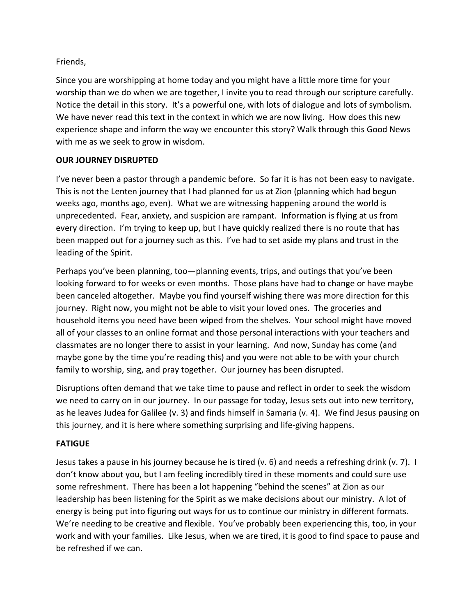## Friends,

Since you are worshipping at home today and you might have a little more time for your worship than we do when we are together, I invite you to read through our scripture carefully. Notice the detail in this story. It's a powerful one, with lots of dialogue and lots of symbolism. We have never read this text in the context in which we are now living. How does this new experience shape and inform the way we encounter this story? Walk through this Good News with me as we seek to grow in wisdom.

# **OUR JOURNEY DISRUPTED**

I've never been a pastor through a pandemic before. So far it is has not been easy to navigate. This is not the Lenten journey that I had planned for us at Zion (planning which had begun weeks ago, months ago, even). What we are witnessing happening around the world is unprecedented. Fear, anxiety, and suspicion are rampant. Information is flying at us from every direction. I'm trying to keep up, but I have quickly realized there is no route that has been mapped out for a journey such as this. I've had to set aside my plans and trust in the leading of the Spirit.

Perhaps you've been planning, too—planning events, trips, and outings that you've been looking forward to for weeks or even months. Those plans have had to change or have maybe been canceled altogether. Maybe you find yourself wishing there was more direction for this journey. Right now, you might not be able to visit your loved ones. The groceries and household items you need have been wiped from the shelves. Your school might have moved all of your classes to an online format and those personal interactions with your teachers and classmates are no longer there to assist in your learning. And now, Sunday has come (and maybe gone by the time you're reading this) and you were not able to be with your church family to worship, sing, and pray together. Our journey has been disrupted.

Disruptions often demand that we take time to pause and reflect in order to seek the wisdom we need to carry on in our journey. In our passage for today, Jesus sets out into new territory, as he leaves Judea for Galilee (v. 3) and finds himself in Samaria (v. 4). We find Jesus pausing on this journey, and it is here where something surprising and life-giving happens.

## **FATIGUE**

Jesus takes a pause in his journey because he is tired (v. 6) and needs a refreshing drink (v. 7). I don't know about you, but I am feeling incredibly tired in these moments and could sure use some refreshment. There has been a lot happening "behind the scenes" at Zion as our leadership has been listening for the Spirit as we make decisions about our ministry. A lot of energy is being put into figuring out ways for us to continue our ministry in different formats. We're needing to be creative and flexible. You've probably been experiencing this, too, in your work and with your families. Like Jesus, when we are tired, it is good to find space to pause and be refreshed if we can.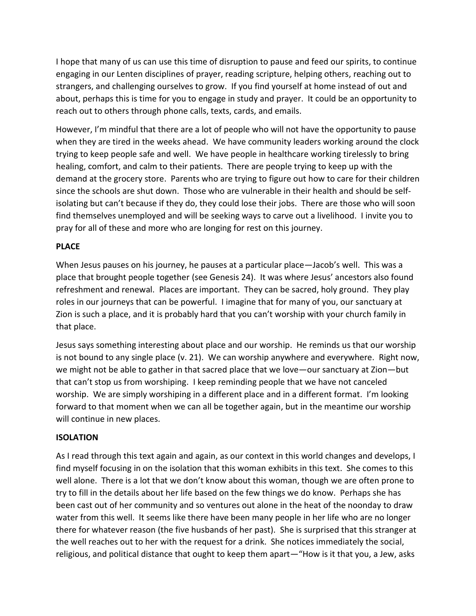I hope that many of us can use this time of disruption to pause and feed our spirits, to continue engaging in our Lenten disciplines of prayer, reading scripture, helping others, reaching out to strangers, and challenging ourselves to grow. If you find yourself at home instead of out and about, perhaps this is time for you to engage in study and prayer. It could be an opportunity to reach out to others through phone calls, texts, cards, and emails.

However, I'm mindful that there are a lot of people who will not have the opportunity to pause when they are tired in the weeks ahead. We have community leaders working around the clock trying to keep people safe and well. We have people in healthcare working tirelessly to bring healing, comfort, and calm to their patients. There are people trying to keep up with the demand at the grocery store. Parents who are trying to figure out how to care for their children since the schools are shut down. Those who are vulnerable in their health and should be selfisolating but can't because if they do, they could lose their jobs. There are those who will soon find themselves unemployed and will be seeking ways to carve out a livelihood. I invite you to pray for all of these and more who are longing for rest on this journey.

### **PLACE**

When Jesus pauses on his journey, he pauses at a particular place—Jacob's well. This was a place that brought people together (see Genesis 24). It was where Jesus' ancestors also found refreshment and renewal. Places are important. They can be sacred, holy ground. They play roles in our journeys that can be powerful. I imagine that for many of you, our sanctuary at Zion is such a place, and it is probably hard that you can't worship with your church family in that place.

Jesus says something interesting about place and our worship. He reminds us that our worship is not bound to any single place (v. 21). We can worship anywhere and everywhere. Right now, we might not be able to gather in that sacred place that we love—our sanctuary at Zion—but that can't stop us from worshiping. I keep reminding people that we have not canceled worship. We are simply worshiping in a different place and in a different format. I'm looking forward to that moment when we can all be together again, but in the meantime our worship will continue in new places.

#### **ISOLATION**

As I read through this text again and again, as our context in this world changes and develops, I find myself focusing in on the isolation that this woman exhibits in this text. She comes to this well alone. There is a lot that we don't know about this woman, though we are often prone to try to fill in the details about her life based on the few things we do know. Perhaps she has been cast out of her community and so ventures out alone in the heat of the noonday to draw water from this well. It seems like there have been many people in her life who are no longer there for whatever reason (the five husbands of her past). She is surprised that this stranger at the well reaches out to her with the request for a drink. She notices immediately the social, religious, and political distance that ought to keep them apart—"How is it that you, a Jew, asks